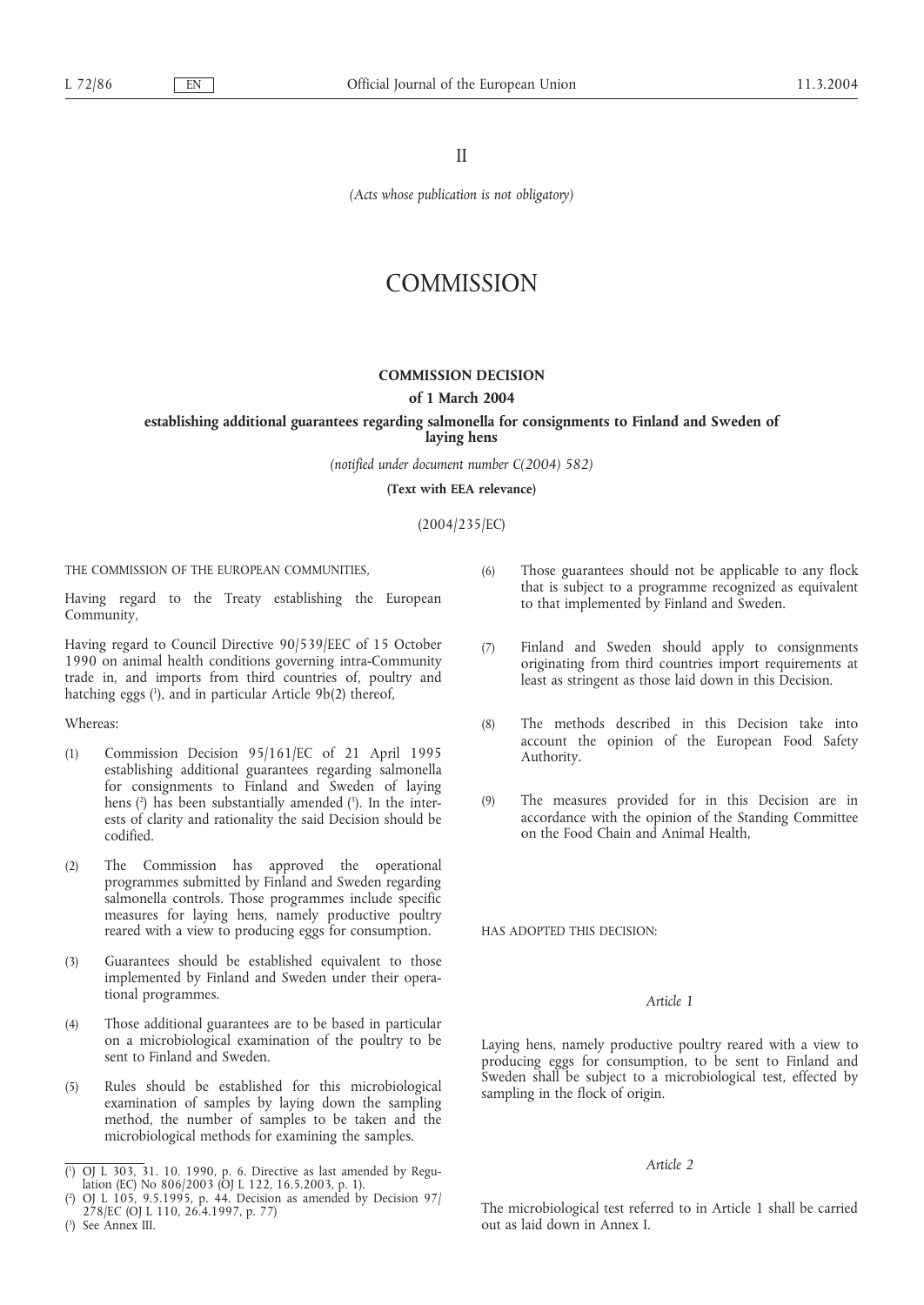II

*(Acts whose publication is not obligatory)*

# **COMMISSION**

## **COMMISSION DECISION**

#### **of 1 March 2004**

#### **establishing additional guarantees regarding salmonella for consignments to Finland and Sweden of laying hens**

*(notified under document number C(2004) 582)*

**(Text with EEA relevance)**

(2004/235/EC)

THE COMMISSION OF THE EUROPEAN COMMUNITIES,

Having regard to the Treaty establishing the European Community,

Having regard to Council Directive 90/539/EEC of 15 October 1990 on animal health conditions governing intra-Community trade in, and imports from third countries of, poultry and hatching eggs (1 ), and in particular Article 9b(2) thereof,

Whereas:

- (1) Commission Decision 95/161/EC of 21 April 1995 establishing additional guarantees regarding salmonella for consignments to Finland and Sweden of laying hens (2 ) has been substantially amended (3 ). In the interests of clarity and rationality the said Decision should be codified.
- (2) The Commission has approved the operational programmes submitted by Finland and Sweden regarding salmonella controls. Those programmes include specific measures for laying hens, namely productive poultry reared with a view to producing eggs for consumption.
- (3) Guarantees should be established equivalent to those implemented by Finland and Sweden under their operational programmes.
- (4) Those additional guarantees are to be based in particular on a microbiological examination of the poultry to be sent to Finland and Sweden.
- (5) Rules should be established for this microbiological examination of samples by laying down the sampling method, the number of samples to be taken and the microbiological methods for examining the samples.
- (6) Those guarantees should not be applicable to any flock that is subject to a programme recognized as equivalent to that implemented by Finland and Sweden.
- (7) Finland and Sweden should apply to consignments originating from third countries import requirements at least as stringent as those laid down in this Decision.
- (8) The methods described in this Decision take into account the opinion of the European Food Safety Authority.
- (9) The measures provided for in this Decision are in accordance with the opinion of the Standing Committee on the Food Chain and Animal Health,

HAS ADOPTED THIS DECISION:

## *Article 1*

Laying hens, namely productive poultry reared with a view to producing eggs for consumption, to be sent to Finland and Sweden shall be subject to a microbiological test, effected by sampling in the flock of origin.

#### *Article 2*

The microbiological test referred to in Article 1 shall be carried out as laid down in Annex I.

<sup>(</sup> 1 ) OJ L 303, 31. 10. 1990, p. 6. Directive as last amended by Regulation (EC) No 806/2003 (OJ L 122, 16.5.2003, p. 1).

<sup>(</sup> 2 ) OJ L 105, 9.5.1995, p. 44. Decision as amended by Decision 97/ 278/EC (OJ L 110, 26.4.1997, p. 77)

<sup>(</sup> 3 ) See Annex III.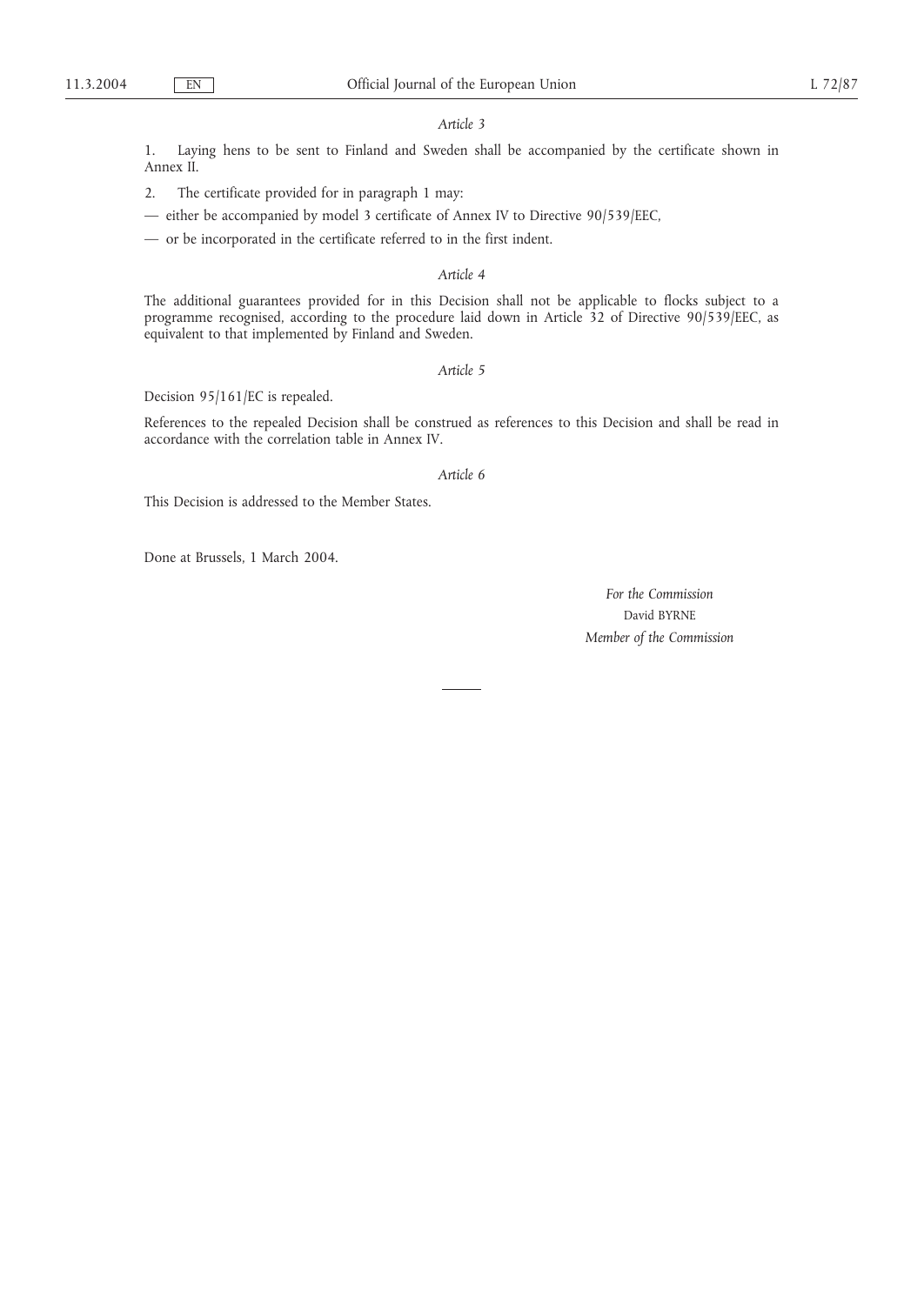#### *Article 3*

1. Laying hens to be sent to Finland and Sweden shall be accompanied by the certificate shown in Annex II.

2. The certificate provided for in paragraph 1 may:

— either be accompanied by model 3 certificate of Annex IV to Directive 90/539/EEC,

— or be incorporated in the certificate referred to in the first indent.

#### *Article 4*

The additional guarantees provided for in this Decision shall not be applicable to flocks subject to a programme recognised, according to the procedure laid down in Article 32 of Directive 90/539/EEC, as equivalent to that implemented by Finland and Sweden.

*Article 5*

Decision 95/161/EC is repealed.

References to the repealed Decision shall be construed as references to this Decision and shall be read in accordance with the correlation table in Annex IV.

#### *Article 6*

This Decision is addressed to the Member States.

Done at Brussels, 1 March 2004.

*For the Commission* David BYRNE *Member of the Commission*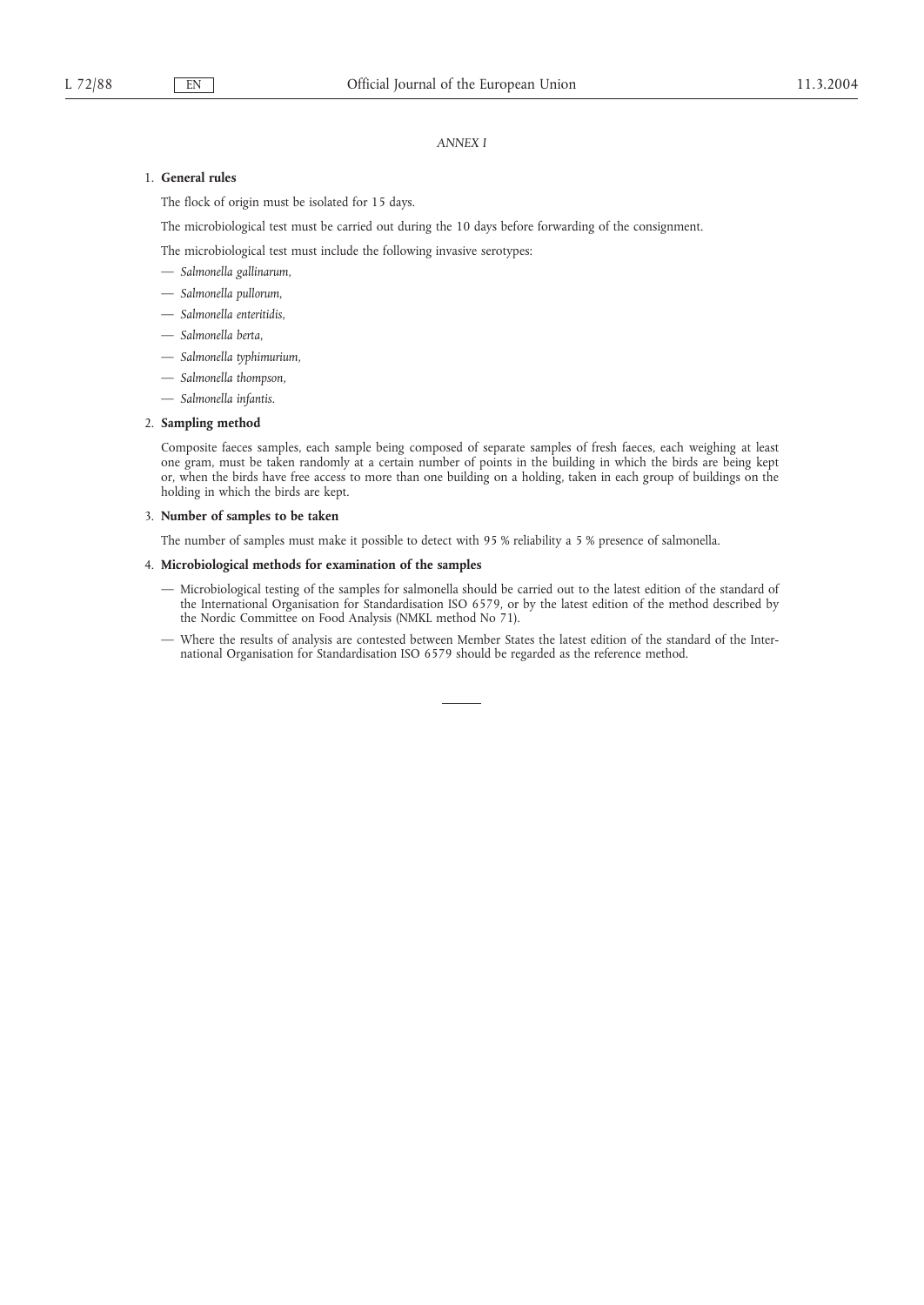#### *ANNEX I*

### 1. **General rules**

The flock of origin must be isolated for 15 days.

The microbiological test must be carried out during the 10 days before forwarding of the consignment.

The microbiological test must include the following invasive serotypes:

- *Salmonella gallinarum*,
- *Salmonella pullorum*,
- *Salmonella enteritidis*,
- *Salmonella berta*,
- *Salmonella typhimurium*,
- *Salmonella thompson*,
- *Salmonella infantis*.

## 2. **Sampling method**

Composite faeces samples, each sample being composed of separate samples of fresh faeces, each weighing at least one gram, must be taken randomly at a certain number of points in the building in which the birds are being kept or, when the birds have free access to more than one building on a holding, taken in each group of buildings on the holding in which the birds are kept.

#### 3. **Number of samples to be taken**

The number of samples must make it possible to detect with 95 % reliability a 5 % presence of salmonella.

#### 4. **Microbiological methods for examination of the samples**

- Microbiological testing of the samples for salmonella should be carried out to the latest edition of the standard of the International Organisation for Standardisation ISO 6579, or by the latest edition of the method described by the Nordic Committee on Food Analysis (NMKL method No 71).
- Where the results of analysis are contested between Member States the latest edition of the standard of the International Organisation for Standardisation ISO 6579 should be regarded as the reference method.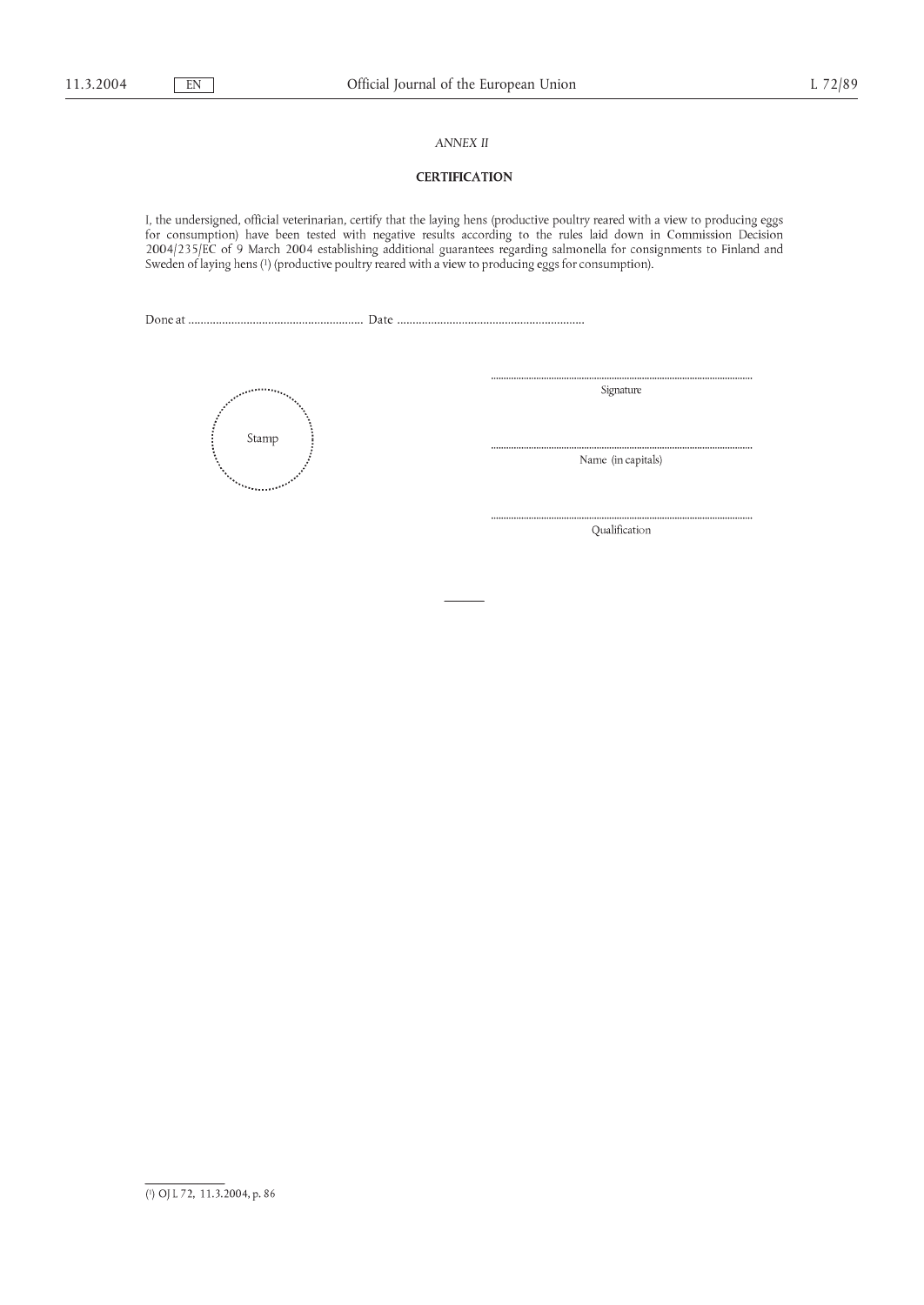### *ANNEX II*

## **CERTIFICATION**

I, the undersigned, official veterinarian, certify that the laying hens (productive poultry reared with a view to producing eggs for consumption) have been tested with negative results according to the rules laid down in



Signature

Name (in capitals)

Qualification

<sup>(1)</sup> OJ L 72, 11.3.2004, p. 86